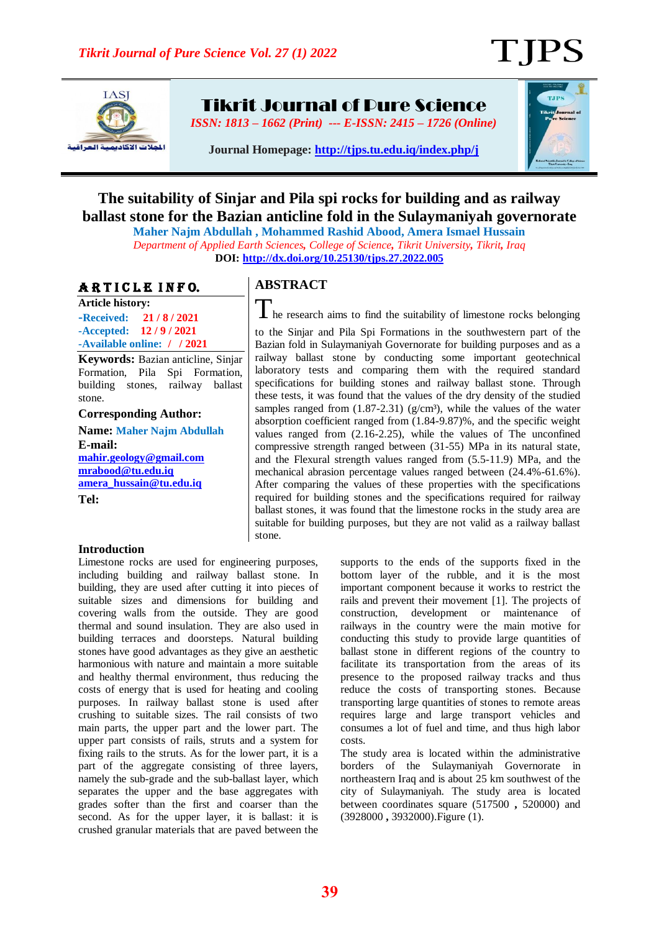T IPS



Tikrit Journal of Pure Science

*ISSN: 1813 – 1662 (Print) --- E-ISSN: 2415 – 1726 (Online)*



**Journal Homepage:<http://tjps.tu.edu.iq/index.php/j>**

# **The suitability of Sinjar and Pila spi rocks for building and as railway ballast stone for the Bazian anticline fold in the Sulaymaniyah governorate**

**Maher Najm Abdullah , Mohammed Rashid Abood, Amera Ismael Hussain** *Department of Applied Earth Sciences, College of Science, Tikrit University, Tikrit, Iraq* **DOI:<http://dx.doi.org/10.25130/tjps.27.2022.005>**

### ARTICLE INFO.

**Article history: -Received: 21 / 8 / 2021 -Accepted: 12 / 9 / 2021 -Available online: / / 2021**

**Keywords:** Bazian anticline, Sinjar Formation, Pila Spi Formation, building stones, railway ballast stone.

**Corresponding Author:**

**Name: Maher Najm Abdullah E-mail: [mahir.geology@gmail.com](mailto:mahir.geology@gmail.com) [mrabood@tu.edu.iq](mailto:mrabood@tu.edu.iq) [amera\\_hussain@tu.edu.iq](mailto:amera_hussain@tu.edu.iq) Tel:**

#### **Introduction**

#### Limestone rocks are used for engineering purposes, including building and railway ballast stone. In building, they are used after cutting it into pieces of suitable sizes and dimensions for building and covering walls from the outside. They are good thermal and sound insulation. They are also used in building terraces and doorsteps. Natural building stones have good advantages as they give an aesthetic harmonious with nature and maintain a more suitable and healthy thermal environment, thus reducing the costs of energy that is used for heating and cooling purposes. In railway ballast stone is used after crushing to suitable sizes. The rail consists of two main parts, the upper part and the lower part. The upper part consists of rails, struts and a system for fixing rails to the struts. As for the lower part, it is a part of the aggregate consisting of three layers, namely the sub-grade and the sub-ballast layer, which separates the upper and the base aggregates with grades softer than the first and coarser than the second. As for the upper layer, it is ballast: it is crushed granular materials that are paved between the

## **ABSTRACT**

The research aims to find the suitability of limestone rocks belonging to the Sinjar and Pila Spi Formations in the southwestern part of the Bazian fold in Sulaymaniyah Governorate for building purposes and as a railway ballast stone by conducting some important geotechnical laboratory tests and comparing them with the required standard specifications for building stones and railway ballast stone. Through these tests, it was found that the values of the dry density of the studied samples ranged from  $(1.87-2.31)$  (g/cm<sup>3</sup>), while the values of the water absorption coefficient ranged from (1.84-9.87)%, and the specific weight values ranged from (2.16-2.25), while the values of The unconfined compressive strength ranged between (31-55) MPa in its natural state, and the Flexural strength values ranged from (5.5-11.9) MPa, and the mechanical abrasion percentage values ranged between (24.4%-61.6%). After comparing the values of these properties with the specifications required for building stones and the specifications required for railway ballast stones, it was found that the limestone rocks in the study area are suitable for building purposes, but they are not valid as a railway ballast stone.

> supports to the ends of the supports fixed in the bottom layer of the rubble, and it is the most important component because it works to restrict the rails and prevent their movement [1]. The projects of construction, development or maintenance of railways in the country were the main motive for conducting this study to provide large quantities of ballast stone in different regions of the country to facilitate its transportation from the areas of its presence to the proposed railway tracks and thus reduce the costs of transporting stones. Because transporting large quantities of stones to remote areas requires large and large transport vehicles and consumes a lot of fuel and time, and thus high labor costs.

> The study area is located within the administrative borders of the Sulaymaniyah Governorate in northeastern Iraq and is about 25 km southwest of the city of Sulaymaniyah. The study area is located between coordinates square (517500 **,** 520000) and (3928000 **,** 3932000).Figure (1).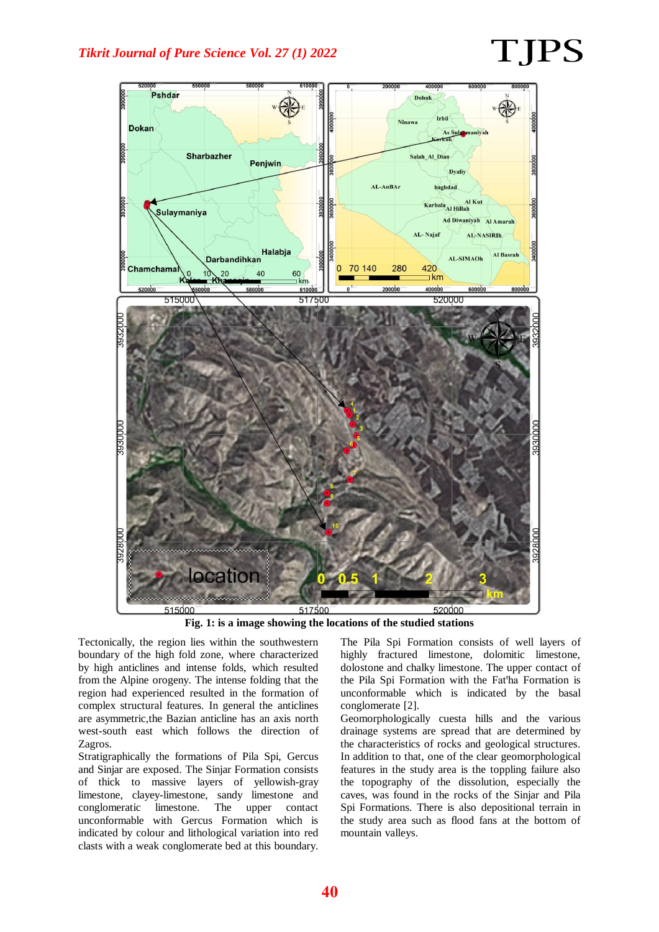# TJPS



**Fig. 1: is a image showing the locations of the studied stations**

Tectonically, the region lies within the southwestern boundary of the high fold zone, where characterized by high anticlines and intense folds, which resulted from the Alpine orogeny. The intense folding that the region had experienced resulted in the formation of complex structural features. In general the anticlines are asymmetric,the Bazian anticline has an axis north west-south east which follows the direction of Zagros.

Stratigraphically the formations of Pila Spi, Gercus and Sinjar are exposed. The Sinjar Formation consists of thick to massive layers of yellowish-gray limestone, clayey-limestone, sandy limestone and conglomeratic limestone. The upper contact unconformable with Gercus Formation which is indicated by colour and lithological variation into red clasts with a weak conglomerate bed at this boundary.

The Pila Spi Formation consists of well layers of highly fractured limestone, dolomitic limestone, dolostone and chalky limestone. The upper contact of the Pila Spi Formation with the Fat'ha Formation is unconformable which is indicated by the basal conglomerate [2].

Geomorphologically cuesta hills and the various drainage systems are spread that are determined by the characteristics of rocks and geological structures. In addition to that, one of the clear geomorphological features in the study area is the toppling failure also the topography of the dissolution, especially the caves, was found in the rocks of the Sinjar and Pila Spi Formations. There is also depositional terrain in the study area such as flood fans at the bottom of mountain valleys.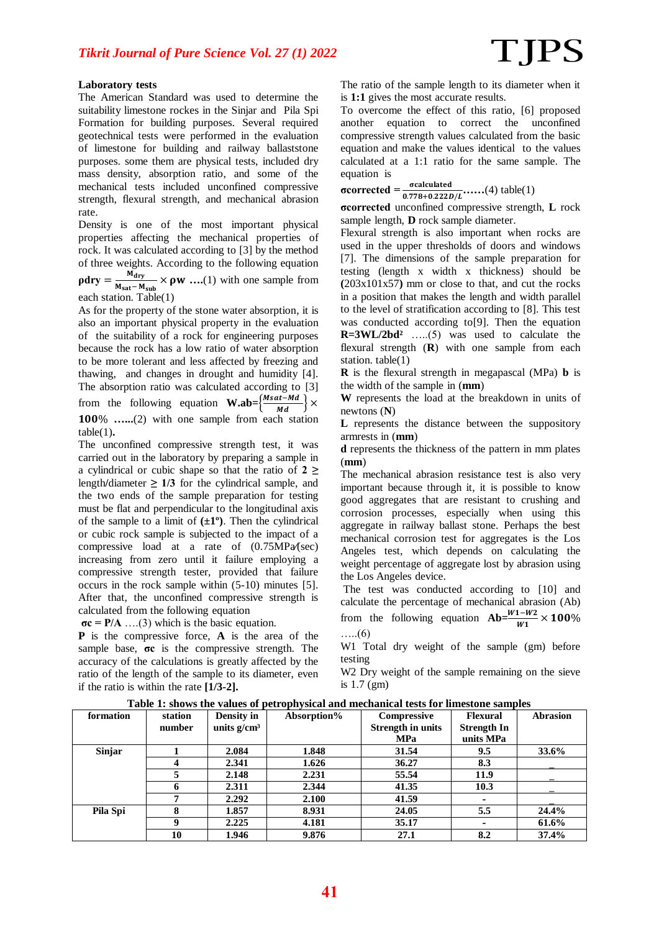#### **Laboratory tests**

The American Standard was used to determine the suitability limestone rockes in the Sinjar and Pila Spi Formation for building purposes. Several required geotechnical tests were performed in the evaluation of limestone for building and railway ballaststone purposes. some them are physical tests, included dry mass density, absorption ratio, and some of the mechanical tests included unconfined compressive strength, flexural strength, and mechanical abrasion rate.

Density is one of the most important physical properties affecting the mechanical properties of rock. It was calculated according to [3] by the method of three weights. According to the following equation

 $\rho$ dry =  $\frac{M}{M}$  $\frac{m_{\text{dry}}}{M_{\text{sat}} - M_{\text{sub}}} \times \rho w$  ....(1) with one sample from each station. Table(1)

As for the property of the stone water absorption, it is also an important physical property in the evaluation of the suitability of a rock for engineering purposes because the rock has a low ratio of water absorption to be more tolerant and less affected by freezing and thawing, and changes in drought and humidity [4]. The absorption ratio was calculated according to [3] from the following equation **W.ab**= $\left\{\frac{Msat-Md}{Md}\right\}$  × **…...**(2) with one sample from each station

table(1)**.**  The unconfined compressive strength test, it was

carried out in the laboratory by preparing a sample in a cylindrical or cubic shape so that the ratio of **2 ≥** length/diameter  $\geq 1/3$  for the cylindrical sample, and the two ends of the sample preparation for testing must be flat and perpendicular to the longitudinal axis of the sample to a limit of  $(\pm 1^{\circ})$ . Then the cylindrical or cubic rock sample is subjected to the impact of a compressive load at a rate of (0.75MPa**⁄**(sec) increasing from zero until it failure employing a compressive strength tester, provided that failure occurs in the rock sample within (5-10) minutes [5]. After that, the unconfined compressive strength is calculated from the following equation

 $\sigma c = P/A$  ....(3) which is the basic equation.

**P** is the compressive force, **A** is the area of the sample base, **σc** is the compressive strength. The accuracy of the calculations is greatly affected by the ratio of the length of the sample to its diameter, even if the ratio is within the rate **[1/3-2].** 

The ratio of the sample length to its diameter when it is **1:1** gives the most accurate results.

To overcome the effect of this ratio, [6] proposed another equation to correct the unconfined compressive strength values calculated from the basic equation and make the values identical to the values calculated at a 1:1 ratio for the same sample. The equation is

**σcorrected** =  $\frac{\sigma \text{calculated}}{0.778 + 0.222D/L}$  (4) table(1)

**σco ecte** unconfined compressive strength, **L** rock sample length, **D** rock sample diameter.

Flexural strength is also important when rocks are used in the upper thresholds of doors and windows [7]. The dimensions of the sample preparation for testing (length x width x thickness) should be **(**203x101x57**)** mm or close to that, and cut the rocks in a position that makes the length and width parallel to the level of stratification according to [8]. This test was conducted according to[9]. Then the equation **R=3WL/2bd²** …..(5) was used to calculate the flexural strength (**R**) with one sample from each station. table(1)

**R** is the flexural strength in megapascal (MPa) **b** is the width of the sample in (**mm**)

**W** represents the load at the breakdown in units of newtons (**N**)

**L** represents the distance between the suppository armrests in (**mm**)

**d** represents the thickness of the pattern in mm plates (**mm**)

The mechanical abrasion resistance test is also very important because through it, it is possible to know good aggregates that are resistant to crushing and corrosion processes, especially when using this aggregate in railway ballast stone. Perhaps the best mechanical corrosion test for aggregates is the Los Angeles test, which depends on calculating the weight percentage of aggregate lost by abrasion using the Los Angeles device.

The test was conducted according to [10] and calculate the percentage of mechanical abrasion (Ab) from the following equation  $Ab = \frac{W_1 - W_2}{W_1} \times$ …..(6)

W1 Total dry weight of the sample (gm) before testing

W<sub>2</sub> Dry weight of the sample remaining on the sieve is 1.7 (gm)

**Table 1: shows the values of petrophysical and mechanical tests for limestone samples**

|           |          |                | . <b>.</b>  |                          |                    |                 |
|-----------|----------|----------------|-------------|--------------------------|--------------------|-----------------|
| formation | station  | Density in     | Absorption% | Compressive              | <b>Flexural</b>    | <b>Abrasion</b> |
|           | number   | units $g/cm^3$ |             | <b>Strength in units</b> | <b>Strength In</b> |                 |
|           |          |                |             | <b>MPa</b>               | units MPa          |                 |
| Sinjar    |          | 2.084          | 1.848       | 31.54                    | 9.5                | 33.6%           |
|           |          | 2.341          | 1.626       | 36.27                    | 8.3                |                 |
|           |          | 2.148          | 2.231       | 55.54                    | 11.9               |                 |
|           |          | 2.311          | 2.344       | 41.35                    | 10.3               |                 |
|           | 7        | 2.292          | 2.100       | 41.59                    |                    |                 |
| Pila Spi  |          | 1.857          | 8.931       | 24.05                    | 5.5                | 24.4%           |
|           | $\bf{o}$ | 2.225          | 4.181       | 35.17                    |                    | 61.6%           |
|           | 10       | 1.946          | 9.876       | 27.1                     | 8.2                | 37.4%           |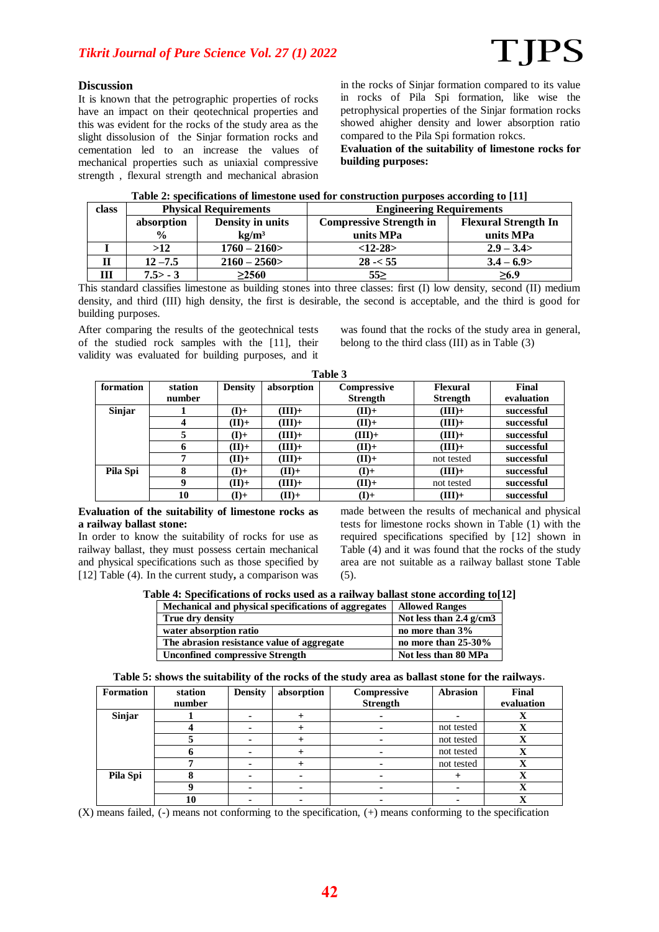#### **Discussion**

It is known that the petrographic properties of rocks have an impact on their qeotechnical properties and this was evident for the rocks of the study area as the slight dissolusion of the Sinjar formation rocks and cementation led to an increase the values of mechanical properties such as uniaxial compressive strength , flexural strength and mechanical abrasion

in the rocks of Sinjar formation compared to its value in rocks of Pila Spi formation, like wise the petrophysical properties of the Sinjar formation rocks showed ahigher density and lower absorption ratio compared to the Pila Spi formation rokcs.

**Evaluation of the suitability of limestone rocks for building purposes:**

| class |               | <b>Physical Requirements</b> | <b>Engineering Requirements</b> |                             |  |
|-------|---------------|------------------------------|---------------------------------|-----------------------------|--|
|       | absorption    | Density in units             | <b>Compressive Strength in</b>  | <b>Flexural Strength In</b> |  |
|       | $\frac{0}{0}$ | $k\Omega/m^3$                | units MPa                       | units MPa                   |  |
|       | >12           | $1760 - 2160$                | $<12-28$                        | $2.9 - 3.4$                 |  |
| п     | $12 - 7.5$    | $2160 - 2560$                | $28 - 55$                       | $3.4 - 6.9$                 |  |
|       | $7.5 > -3$    | >2560                        | 55                              | >6.9                        |  |

#### **Table 2: specifications of limestone used for construction purposes according to [11]**

This standard classifies limestone as building stones into three classes: first (I) low density, second (II) medium density, and third (III) high density, the first is desirable, the second is acceptable, and the third is good for building purposes.

After comparing the results of the geotechnical tests of the studied rock samples with the [11], their validity was evaluated for building purposes, and it

was found that the rocks of the study area in general, belong to the third class (III) as in Table (3)

| таріе э   |         |                |            |                 |                 |            |  |
|-----------|---------|----------------|------------|-----------------|-----------------|------------|--|
| formation | station | <b>Density</b> | absorption | Compressive     | <b>Flexural</b> | Final      |  |
|           | number  |                |            | <b>Strength</b> | <b>Strength</b> | evaluation |  |
| Sinjar    |         | $(I)$ +        | $(HII)+$   | $(II)$ +        | $(HII)+$        | successful |  |
|           | 4       | $+$ (II)       | $(HII)+$   | $(II)$ +        | $(HII)+$        | successful |  |
|           |         | $(I)$ +        | $(HII)+$   | $(HII)+$        | $(HII)+$        | successful |  |
|           |         | $+$ (II)       | $(HII)+$   | $+$ (II) +      | $(HII)+$        | successful |  |
|           | 7       | $+$ (II)       | $(HII)+$   | (H)             | not tested      | successful |  |
| Pila Spi  | 8       | $(I)$ +        | $+$ (II) + | $(I)$ +         | $(HII)+$        | successful |  |
|           | 9       | $+$ (II)       | $(HII)+$   | $+$ (II)        | not tested      | successful |  |
|           | 10      | $(I)$ +        | (H)        | $(I)$ +         | $(III) +$       | successful |  |

**Table 3**

#### **Evaluation of the suitability of limestone rocks as a railway ballast stone:**

In order to know the suitability of rocks for use as railway ballast, they must possess certain mechanical and physical specifications such as those specified by [12] Table (4). In the current study**,** a comparison was

made between the results of mechanical and physical tests for limestone rocks shown in Table (1) with the required specifications specified by [12] shown in Table (4) and it was found that the rocks of the study area are not suitable as a railway ballast stone Table (5).

**Table 4: Specifications of rocks used as a railway ballast stone according to[12]**

| Mechanical and physical specifications of aggregates | <b>Allowed Ranges</b>     |
|------------------------------------------------------|---------------------------|
| True dry density                                     | Not less than $2.4$ g/cm3 |
| water absorption ratio                               | no more than 3%           |
| The abrasion resistance value of aggregate           | no more than 25-30%       |
| <b>Unconfined compressive Strength</b>               | Not less than 80 MPa      |

| Table 5: shows the suitability of the rocks of the study area as ballast stone for the railways. |  |  |  |
|--------------------------------------------------------------------------------------------------|--|--|--|
|--------------------------------------------------------------------------------------------------|--|--|--|

| <b>Formation</b> | station<br>number | <b>Density</b> | absorption | Compressive<br><b>Strength</b> | <b>Abrasion</b> | Final<br>evaluation |
|------------------|-------------------|----------------|------------|--------------------------------|-----------------|---------------------|
| Sinjar           |                   |                |            |                                |                 |                     |
|                  |                   |                |            |                                | not tested      | л                   |
|                  |                   |                |            |                                | not tested      | Δ                   |
|                  |                   |                |            |                                | not tested      |                     |
|                  |                   |                |            |                                | not tested      | X                   |
| Pila Spi         |                   |                |            |                                |                 | Δ                   |
|                  |                   |                | -          |                                |                 |                     |
|                  | 10                |                |            |                                |                 |                     |

 $(X)$  means failed, (-) means not conforming to the specification, (+) means conforming to the specification